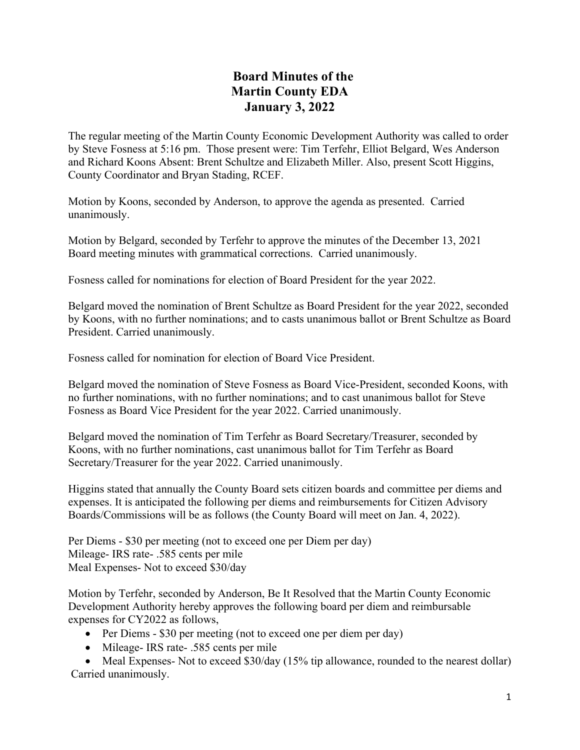## **Board Minutes of the Martin County EDA January 3, 2022**

The regular meeting of the Martin County Economic Development Authority was called to order by Steve Fosness at 5:16 pm. Those present were: Tim Terfehr, Elliot Belgard, Wes Anderson and Richard Koons Absent: Brent Schultze and Elizabeth Miller. Also, present Scott Higgins, County Coordinator and Bryan Stading, RCEF.

Motion by Koons, seconded by Anderson, to approve the agenda as presented. Carried unanimously.

Motion by Belgard, seconded by Terfehr to approve the minutes of the December 13, 2021 Board meeting minutes with grammatical corrections. Carried unanimously.

Fosness called for nominations for election of Board President for the year 2022.

Belgard moved the nomination of Brent Schultze as Board President for the year 2022, seconded by Koons, with no further nominations; and to casts unanimous ballot or Brent Schultze as Board President. Carried unanimously.

Fosness called for nomination for election of Board Vice President.

Belgard moved the nomination of Steve Fosness as Board Vice-President, seconded Koons, with no further nominations, with no further nominations; and to cast unanimous ballot for Steve Fosness as Board Vice President for the year 2022. Carried unanimously.

Belgard moved the nomination of Tim Terfehr as Board Secretary/Treasurer, seconded by Koons, with no further nominations, cast unanimous ballot for Tim Terfehr as Board Secretary/Treasurer for the year 2022. Carried unanimously.

Higgins stated that annually the County Board sets citizen boards and committee per diems and expenses. It is anticipated the following per diems and reimbursements for Citizen Advisory Boards/Commissions will be as follows (the County Board will meet on Jan. 4, 2022).

Per Diems - \$30 per meeting (not to exceed one per Diem per day) Mileage- IRS rate- .585 cents per mile Meal Expenses- Not to exceed \$30/day

Motion by Terfehr, seconded by Anderson, Be It Resolved that the Martin County Economic Development Authority hereby approves the following board per diem and reimbursable expenses for CY2022 as follows,

- Per Diems \$30 per meeting (not to exceed one per diem per day)
- Mileage- IRS rate- .585 cents per mile

• Meal Expenses- Not to exceed \$30/day (15% tip allowance, rounded to the nearest dollar) Carried unanimously.